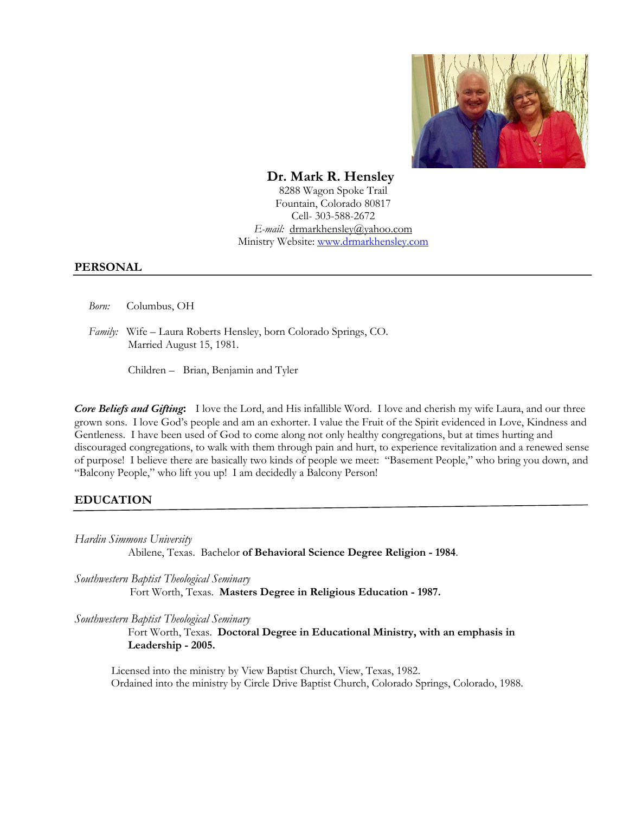

## **Dr. Mark R. Hensley**

8288 Wagon Spoke Trail Fountain, Colorado 80817 Cell- 303-588-2672 *E-mail:* drmarkhensley@yahoo.com Ministry Website: www.drmarkhensley.com

#### **PERSONAL**

 *Born:* Columbus, OH

 *Family:* Wife – Laura Roberts Hensley, born Colorado Springs, CO. Married August 15, 1981.

Children – Brian, Benjamin and Tyler

*Core Beliefs and Gifting***:** I love the Lord, and His infallible Word. I love and cherish my wife Laura, and our three grown sons. I love God's people and am an exhorter. I value the Fruit of the Spirit evidenced in Love, Kindness and Gentleness. I have been used of God to come along not only healthy congregations, but at times hurting and discouraged congregations, to walk with them through pain and hurt, to experience revitalization and a renewed sense of purpose! I believe there are basically two kinds of people we meet: "Basement People," who bring you down, and "Balcony People," who lift you up! I am decidedly a Balcony Person!

#### **EDUCATION**

*Hardin Simmons University*

Abilene, Texas. Bachelor **of Behavioral Science Degree Religion - 1984**.

*Southwestern Baptist Theological Seminary* Fort Worth, Texas. **Masters Degree in Religious Education - 1987.**

*Southwestern Baptist Theological Seminary*

 Fort Worth, Texas. **Doctoral Degree in Educational Ministry, with an emphasis in Leadership - 2005.**

Licensed into the ministry by View Baptist Church, View, Texas, 1982. Ordained into the ministry by Circle Drive Baptist Church, Colorado Springs, Colorado, 1988.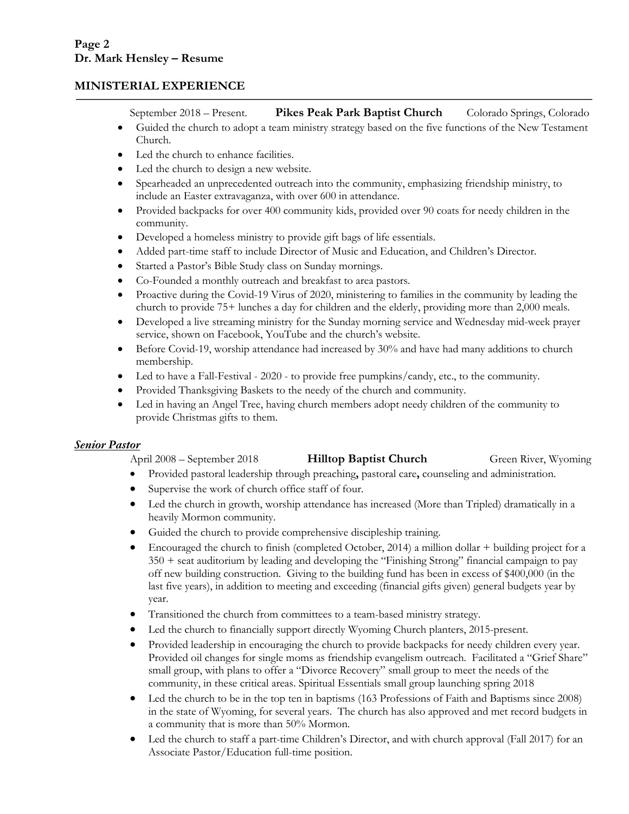## **MINISTERIAL EXPERIENCE**

September 2018 – Present. **Pikes Peak Park Baptist Church** Colorado Springs, Colorado

- Guided the church to adopt a team ministry strategy based on the five functions of the New Testament Church.
- Led the church to enhance facilities.
- Led the church to design a new website.
- Spearheaded an unprecedented outreach into the community, emphasizing friendship ministry, to include an Easter extravaganza, with over 600 in attendance.
- Provided backpacks for over 400 community kids, provided over 90 coats for needy children in the community.
- Developed a homeless ministry to provide gift bags of life essentials.
- Added part-time staff to include Director of Music and Education, and Children's Director.
- Started a Pastor's Bible Study class on Sunday mornings.
- Co-Founded a monthly outreach and breakfast to area pastors.
- Proactive during the Covid-19 Virus of 2020, ministering to families in the community by leading the church to provide 75+ lunches a day for children and the elderly, providing more than 2,000 meals.
- Developed a live streaming ministry for the Sunday morning service and Wednesday mid-week prayer service, shown on Facebook, YouTube and the church's website.
- Before Covid-19, worship attendance had increased by 30% and have had many additions to church membership.
- Led to have a Fall-Festival 2020 to provide free pumpkins/candy, etc., to the community.
- Provided Thanksgiving Baskets to the needy of the church and community.
- Led in having an Angel Tree, having church members adopt needy children of the community to provide Christmas gifts to them.

#### *Senior Pastor*

April 2008 – September 2018 **Hilltop Baptist Church** Green River, Wyoming

- Provided pastoral leadership through preaching**,** pastoral care**,** counseling and administration.
- Supervise the work of church office staff of four.
- Led the church in growth, worship attendance has increased (More than Tripled) dramatically in a heavily Mormon community.
- Guided the church to provide comprehensive discipleship training.
- Encouraged the church to finish (completed October, 2014) a million dollar  $+$  building project for a 350 + seat auditorium by leading and developing the "Finishing Strong" financial campaign to pay off new building construction. Giving to the building fund has been in excess of \$400,000 (in the last five years), in addition to meeting and exceeding (financial gifts given) general budgets year by year.
- Transitioned the church from committees to a team-based ministry strategy.
- Led the church to financially support directly Wyoming Church planters, 2015-present.
- Provided leadership in encouraging the church to provide backpacks for needy children every year. Provided oil changes for single moms as friendship evangelism outreach. Facilitated a "Grief Share" small group, with plans to offer a "Divorce Recovery" small group to meet the needs of the community, in these critical areas. Spiritual Essentials small group launching spring 2018
- Led the church to be in the top ten in baptisms (163 Professions of Faith and Baptisms since 2008) in the state of Wyoming, for several years. The church has also approved and met record budgets in a community that is more than 50% Mormon.
- Led the church to staff a part-time Children's Director, and with church approval (Fall 2017) for an Associate Pastor/Education full-time position.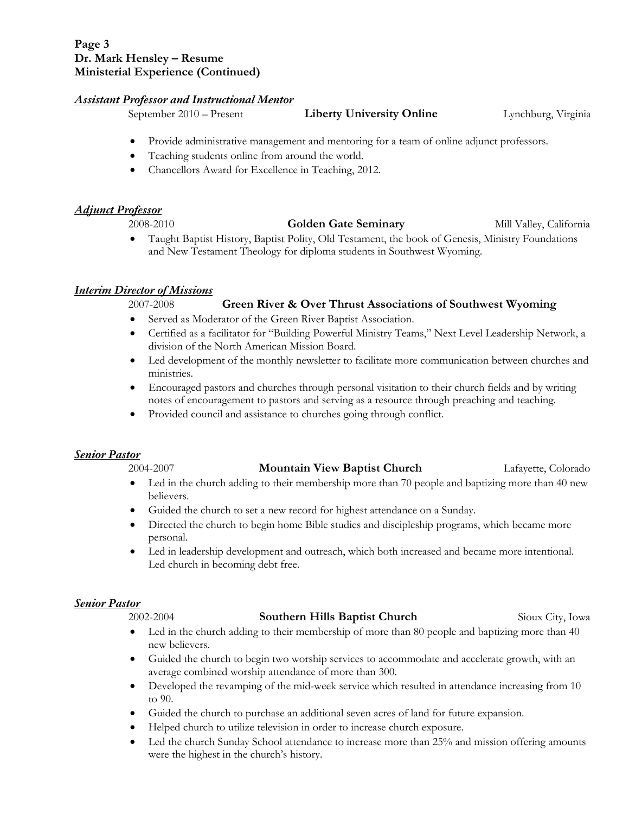## **Page 3 Dr. Mark Hensley – Resume Ministerial Experience (Continued)**

#### *Assistant Professor and Instructional Mentor*

September 2010 – Present **Liberty University Online** Lynchburg, Virginia

- Provide administrative management and mentoring for a team of online adjunct professors.
- Teaching students online from around the world.
- Chancellors Award for Excellence in Teaching, 2012.

#### *Adjunct Professor*

2008-2010 **Golden Gate Seminary** Mill Valley, California

• Taught Baptist History, Baptist Polity, Old Testament, the book of Genesis, Ministry Foundations and New Testament Theology for diploma students in Southwest Wyoming.

#### *Interim Director of Missions*

#### 2007-2008 **Green River & Over Thrust Associations of Southwest Wyoming**

- Served as Moderator of the Green River Baptist Association.
- Certified as a facilitator for "Building Powerful Ministry Teams," Next Level Leadership Network, a division of the North American Mission Board.
- Led development of the monthly newsletter to facilitate more communication between churches and ministries.
- Encouraged pastors and churches through personal visitation to their church fields and by writing notes of encouragement to pastors and serving as a resource through preaching and teaching.
- Provided council and assistance to churches going through conflict.

#### *Senior Pastor*

#### 2004-2007 **Mountain View Baptist Church** Lafayette, Colorado

- Led in the church adding to their membership more than 70 people and baptizing more than 40 new believers.
- Guided the church to set a new record for highest attendance on a Sunday.
- Directed the church to begin home Bible studies and discipleship programs, which became more personal.
- Led in leadership development and outreach, which both increased and became more intentional. Led church in becoming debt free.

## *Senior Pastor*

#### 2002-2004 **Southern Hills Baptist Church** Sioux City, Iowa

- Led in the church adding to their membership of more than 80 people and baptizing more than 40 new believers.
- Guided the church to begin two worship services to accommodate and accelerate growth, with an average combined worship attendance of more than 300.
- Developed the revamping of the mid-week service which resulted in attendance increasing from 10 to 90.
- Guided the church to purchase an additional seven acres of land for future expansion.
- Helped church to utilize television in order to increase church exposure.
- Led the church Sunday School attendance to increase more than 25% and mission offering amounts were the highest in the church's history.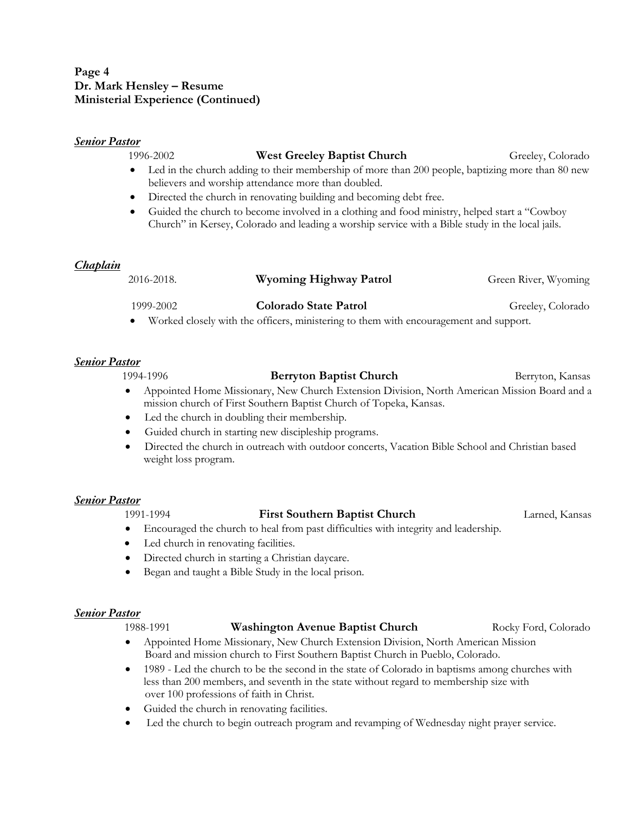## **Page 4 Dr. Mark Hensley – Resume Ministerial Experience (Continued)**

#### *Senior Pastor*

#### 1996-2002 **West Greeley Baptist Church** Greeley, Colorado

- Led in the church adding to their membership of more than 200 people, baptizing more than 80 new believers and worship attendance more than doubled.
- Directed the church in renovating building and becoming debt free.
- Guided the church to become involved in a clothing and food ministry, helped start a "Cowboy" Church" in Kersey, Colorado and leading a worship service with a Bible study in the local jails.

## *Chaplain*

| 2016-2018. | Wyoming Highway Patrol                                                                | Green River, Wyoming |
|------------|---------------------------------------------------------------------------------------|----------------------|
| 1999-2002  | Colorado State Patrol                                                                 | Greeley, Colorado    |
|            | Worked closely with the officers, ministering to them with encouragement and support. |                      |

#### *Senior Pastor*

1994-1996 **Berryton Baptist Church** Berryton, Kansas • Appointed Home Missionary, New Church Extension Division, North American Mission Board and a mission church of First Southern Baptist Church of Topeka, Kansas. • Led the church in doubling their membership.

- Guided church in starting new discipleship programs.
- Directed the church in outreach with outdoor concerts, Vacation Bible School and Christian based weight loss program.

#### *Senior Pastor*

#### 1991-1994 **First Southern Baptist Church** Larned, Kansas

- Encouraged the church to heal from past difficulties with integrity and leadership.
- Led church in renovating facilities.
- Directed church in starting a Christian daycare.
- Began and taught a Bible Study in the local prison.

#### *Senior Pastor*

#### 1988-1991 **Washington Avenue Baptist Church** Rocky Ford, Colorado

- Appointed Home Missionary, New Church Extension Division, North American Mission Board and mission church to First Southern Baptist Church in Pueblo, Colorado.
- 1989 Led the church to be the second in the state of Colorado in baptisms among churches with less than 200 members, and seventh in the state without regard to membership size with over 100 professions of faith in Christ.
- Guided the church in renovating facilities.
- Led the church to begin outreach program and revamping of Wednesday night prayer service.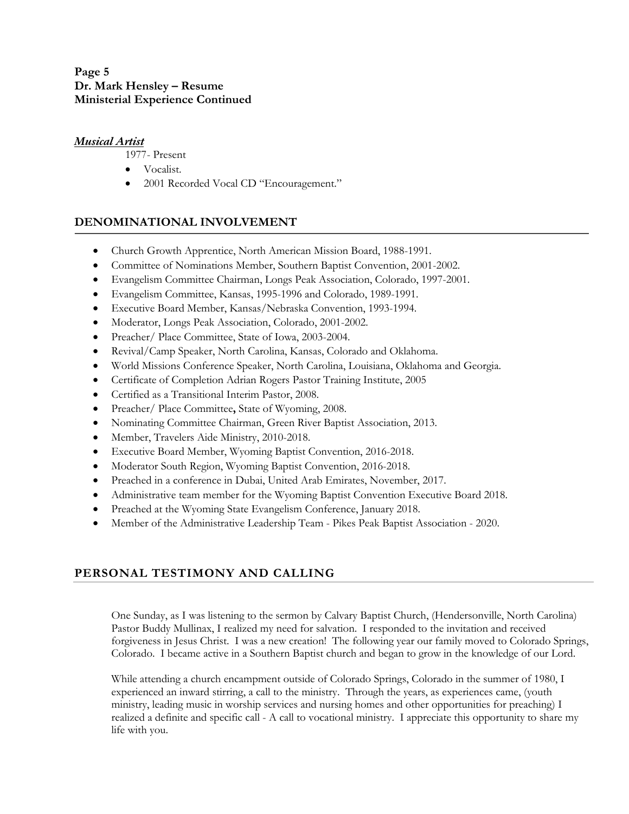## **Page 5 Dr. Mark Hensley – Resume Ministerial Experience Continued**

## *Musical Artist*

1977- Present

- Vocalist.
- 2001 Recorded Vocal CD "Encouragement."

## **DENOMINATIONAL INVOLVEMENT**

- Church Growth Apprentice, North American Mission Board, 1988-1991.
- Committee of Nominations Member, Southern Baptist Convention, 2001-2002.
- Evangelism Committee Chairman, Longs Peak Association, Colorado, 1997-2001.
- Evangelism Committee, Kansas, 1995-1996 and Colorado, 1989-1991.
- Executive Board Member, Kansas/Nebraska Convention, 1993-1994.
- Moderator, Longs Peak Association, Colorado, 2001-2002.
- Preacher/ Place Committee, State of Iowa, 2003-2004.
- Revival/Camp Speaker, North Carolina, Kansas, Colorado and Oklahoma.
- World Missions Conference Speaker, North Carolina, Louisiana, Oklahoma and Georgia.
- Certificate of Completion Adrian Rogers Pastor Training Institute, 2005
- Certified as a Transitional Interim Pastor, 2008.
- Preacher/ Place Committee**,** State of Wyoming, 2008.
- Nominating Committee Chairman, Green River Baptist Association, 2013.
- Member, Travelers Aide Ministry, 2010-2018.
- Executive Board Member, Wyoming Baptist Convention, 2016-2018.
- Moderator South Region, Wyoming Baptist Convention, 2016-2018.
- Preached in a conference in Dubai, United Arab Emirates, November, 2017.
- Administrative team member for the Wyoming Baptist Convention Executive Board 2018.
- Preached at the Wyoming State Evangelism Conference, January 2018.
- Member of the Administrative Leadership Team Pikes Peak Baptist Association 2020.

# **PERSONAL TESTIMONY AND CALLING**

One Sunday, as I was listening to the sermon by Calvary Baptist Church, (Hendersonville, North Carolina) Pastor Buddy Mullinax, I realized my need for salvation. I responded to the invitation and received forgiveness in Jesus Christ. I was a new creation! The following year our family moved to Colorado Springs, Colorado. I became active in a Southern Baptist church and began to grow in the knowledge of our Lord.

While attending a church encampment outside of Colorado Springs, Colorado in the summer of 1980, I experienced an inward stirring, a call to the ministry. Through the years, as experiences came, (youth ministry, leading music in worship services and nursing homes and other opportunities for preaching) I realized a definite and specific call - A call to vocational ministry. I appreciate this opportunity to share my life with you.